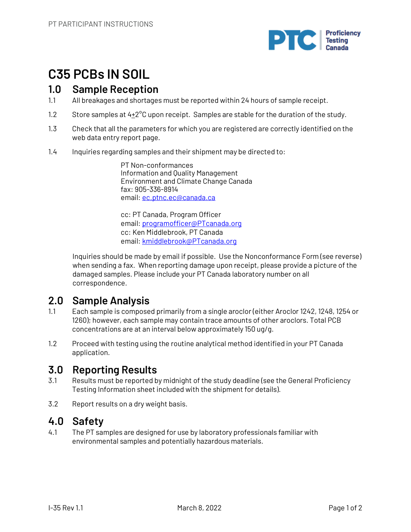

# **C35 PCBs IN SOIL**

### **1.0 Sample Reception**

- 1.1 All breakages and shortages must be reported within 24 hours of sample receipt.
- 1.2 Store samples at  $4\pm2^{\circ}$ C upon receipt. Samples are stable for the duration of the study.
- 1.3 Check that all the parameters for which you are registered are correctly identified on the web data entry report page.
- 1.4 Inquiries regarding samples and their shipment may be directed to:

PT Non-conformances Information and Quality Management Environment and Climate Change Canada fax: 905-336-8914 email: ec.ptnc.ec@canada.ca

cc: PT Canada, Program Officer email: programofficer@PTcanada.org cc: Ken Middlebrook, PT Canada email: kmiddlebrook@PTcanada.org

Inquiries should be made by email if possible. Use the Nonconformance Form (see reverse) when sending a fax. When reporting damage upon receipt, please provide a picture of the damaged samples. Please include your PT Canada laboratory number on all correspondence.

## **2.0 Sample Analysis**

- 1.1 Each sample is composed primarily from a single aroclor (either Aroclor 1242, 1248, 1254 or 1260); however, each sample may contain trace amounts of other aroclors. Total PCB concentrations are at an interval below approximately 150 ug/g.
- 1.2 Proceed with testing using the routine analytical method identified in your PT Canada application.

## **3.0 Reporting Results**

- 3.1 Results must be reported by midnight of the study deadline (see the General Proficiency Testing Information sheet included with the shipment for details).
- 3.2 Report results on a dry weight basis.

### **4.0 Safety**

4.1 The PT samples are designed for use by laboratory professionals familiar with environmental samples and potentially hazardous materials.